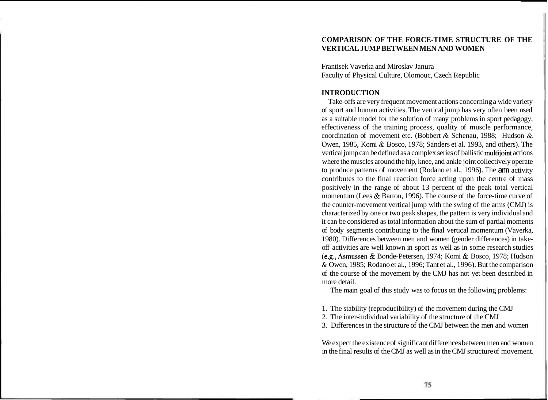# **COMPARISON OF THE FORCE-TIME STRUCTURE OF THE VERTICAL JUMP BETWEEN MEN AND WOMEN**

Frantisek Vaverka and Miroslav Janura Faculty of Physical Culture, Olomouc, Czech Republic

# **INTRODUCTION**

Take-offs are very frequent movement actions concerning a wide variety of sport and human activities. The vertical jump has very often been used as a suitable model for the solution of many problems in sport pedagogy, effectiveness of the training process, quality of muscle performance, coordination of movement etc. (Bobbert & Schenau, 1988; Hudson & Owen, 1985, Komi & Bosco, 1978; Sanders et al. 1993, and others). The vertical jump can be defined as a complex series of ballistic multijoint actions where the muscles around the hip, knee, and ankle joint collectively operate to produce patterns of movement (Rodano et al., 1996). The arm activity contributes to the final reaction force acting upon the centre of mass positively in the range of about 13 percent of the peak total vertical momentum (Lees & Barton, 1996). The course of the force-time curve of the counter-movement vertical jump with the swing of the arms (CMJ) is characterized by one or two peak shapes, the pattern is very individual and it can be considered as total information about the sum of partial moments of body segments contributing to the final vertical momentum (Vaverka, 1980). Differences between men and women (gender differences) in takeoff activities are well known in sport as well as in some research studies (e.g., Asmussen & Bonde-Petersen, 1974; Komi & Bosco, 1978; Hudson & Owen, 1985; Rodano et al., 1996; Tant et al., 1996). But the comparison of the course of the movement by the CMJ has not yet been described in more detail.

The main goal of this study was to focus on the following problems:

- 1. The stability (reproducibility) of the movement during the CMJ
- 2. The inter-individual variability of the structure of the CMJ
- 3. Differences in the structure of the CMJ between the men and women

We expect the existence of significant differences between men and women in the final results of the CMJ as well as in the CMJ structure of movement.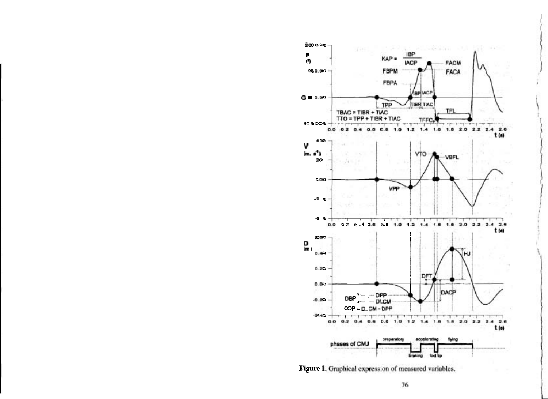

Figure 1. Graphical expression of measured variables.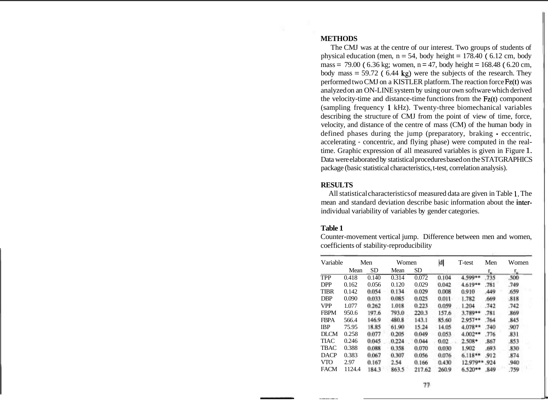### **METHODS**

The CMJ was at the centre of our interest. Two groups of students of physical education (men,  $n = 54$ , body height = 178.40 (6.12 cm, body mass = 79.00 (  $6.36 \text{ kg}$ ; women, n = 47, body height = 168.48 (  $6.20 \text{ cm}$ , body mass  $= 59.72$  (6.44 kg) were the subjects of the research. They performed two CMJ on a KISTLER platform. The reaction force Fz(t) was analyzed on an ON-LINE system by using our own software which derived the velocity-time and distance-time functions from the  $Fz(t)$  component (sampling frequency 1 kHz). Twenty-three biomechanical variables describing the structure of CMJ from the point of view of time, force, velocity, and distance of the centre of mass (CM) of the human body in defined phases during the jump (preparatory, braking - eccentric, accelerating - concentric, and flying phase) were computed in the realtime. Graphic expression of all measured variables is given in Figure 1. Data were elaborated by statistical procedures based on the STATGRAPHICS package (basic statistical characteristics, t-test, correlation analysis).

#### **RESULTS**

All statistical characteristics of measured data are given in Table 1. The mean and standard deviation describe basic information about the interindividual variability of variables by gender categories.

### **Table 1**

Counter-movement vertical jump. Difference between men and women, coefficients of stability-reproducibility

| Variable    | Men    |           | Women |           | d     | T-test    | Men  | Women |  |
|-------------|--------|-----------|-------|-----------|-------|-----------|------|-------|--|
|             | Mean   | <b>SD</b> | Mean  | <b>SD</b> |       |           | r.,  | Г.,   |  |
| <b>TPP</b>  | 0.418  | 0.140     | 0.314 | 0.072     | 0.104 | 4.599**   | .735 | .500  |  |
| <b>DPP</b>  | 0.162  | 0.056     | 0.120 | 0.029     | 0.042 | 4.619**   | .781 | .749  |  |
| <b>TIBR</b> | 0.142  | 0.054     | 0.134 | 0.029     | 0.008 | 0.910     | 449  | .659  |  |
| <b>DBP</b>  | 0.090  | 0.033     | 0.085 | 0.025     | 0.011 | 1.782     | .669 | .818  |  |
| <b>VPP</b>  | 1.077  | 0.262     | 1.018 | 0.223     | 0.059 | 1.204     | .742 | .742  |  |
| <b>FBPM</b> | 950.6  | 197.6     | 793.0 | 220.3     | 157.6 | 3.789**   | .781 | .869  |  |
| <b>FBPA</b> | 566.4  | 146.9     | 480.8 | 143.1     | 85.60 | 2.957**   | .764 | .845  |  |
| <b>IBP</b>  | 75.95  | 18.85     | 61.90 | 15.24     | 14.05 | $4.078**$ | .740 | .907  |  |
| <b>DLCM</b> | 0.258  | 0.077     | 0.205 | 0.049     | 0.053 | $4.002**$ | .776 | .831  |  |
| TIAC        | 0.246  | 0.045     | 0.224 | 0.044     | 0.02  | $2.508*$  | .867 | .853  |  |
| <b>TBAC</b> | 0.388  | 0.088     | 0.358 | 0.070     | 0.030 | 1.902     | .693 | .830  |  |
| <b>DACP</b> | 0.383  | 0.067     | 0.307 | 0.056     | 0.076 | $6.118**$ | .912 | .874  |  |
| <b>VTO</b>  | 2.97   | 0.167     | 2.54  | 0.166     | 0.430 | 12.979**  | .924 | .940  |  |
| <b>FACM</b> | 1124.4 | 184.3     | 863.5 | 217.62    | 260.9 | $6.520**$ | .849 | .759  |  |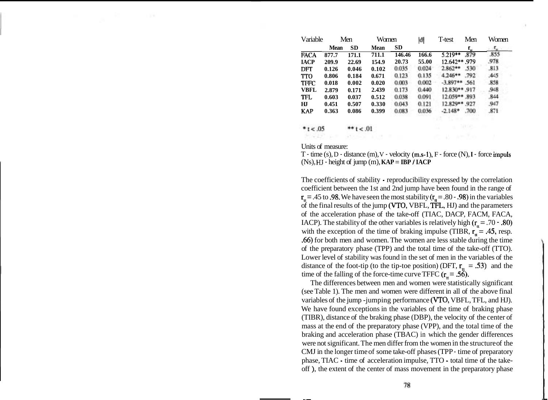| Variable    | Men   |           | Women |           | ΙđΙ   | T-test         | Men  | Women |  |
|-------------|-------|-----------|-------|-----------|-------|----------------|------|-------|--|
|             | Mean  | <b>SD</b> | Mean  | <b>SD</b> |       |                | r.,  | т.    |  |
| <b>FACA</b> | 877.7 | 171.1     | 711.1 | 146.46    | 166.6 | $5.219**$      | .879 | .855  |  |
| <b>IACP</b> | 209.9 | 22.69     | 154.9 | 20.73     | 55.00 | 12.642**.979   |      | .978  |  |
| DFT         | 0.126 | 0.046     | 0.102 | 0.035     | 0.024 | $2.862**$      | 530  | .813  |  |
| <b>TTO</b>  | 0.806 | 0.184     | 0.671 | 0.123     | 0.135 | $4.246**$      | .792 | 445   |  |
| <b>TFFC</b> | 0.018 | 0.002     | 0.020 | 0.003     | 0.002 | $-3.897**$ 561 |      | .858  |  |
| <b>VBFL</b> | 2.879 | 0.171     | 2.439 | 0.173     | 0.440 | 12.830**.917   |      | .948  |  |
| <b>TFL</b>  | 0.603 | 0.037     | 0.512 | 0.038     | 0.091 | 12.059** 893   |      | 844   |  |
| HТ          | 0.451 | 0.507     | 0.330 | 0.043     | 0.121 | 12.829** .927  |      | .947  |  |
| <b>KAP</b>  | 0.363 | 0.086     | 0.399 | 0.083     | 0.036 | $-2.148*$      | .700 | .871  |  |
|             |       |           |       |           |       |                |      |       |  |

Units of measure:

 $10. > t$  \*\*

 $*1 < .05$ 

T - time  $(s)$ , D - distance  $(m)$ , V - velocity  $(m.s-1)$ , F - force  $(N)$ , I - force impuls  $(Ns)$ ,  $HJ$  - height of jump  $(m)$ ,  $KAP = IBP / IACP$ 

The coefficients of stability - reproducibility expressed by the correlation coefficient between the 1st and 2nd jump have been found in the range of  $r<sub>tt</sub> = .45$  to .98. We have seen the most stability ( $r<sub>tt</sub> = .80 - .98$ ) in the variables of the final results of the jump (VTO, VBFL, TFL, HJ) and the parameters of the acceleration phase of the take-off (TIAC, DACP, FACM, FACA, IACP). The stability of the other variables is relatively high  $(r<sub>r</sub> = .70 - .80)$ with the exception of the time of braking impulse (TIBR,  $r<sub>tt</sub> = .45$ , resp. .66) for both men and women. The women are less stable during the time of the preparatory phase (TPP) and the total time of the take-off (TTO). Lower level of stability was found in the set of men in the variables of the distance of the foot-tip (to the tip-toe position) (DFT,  $r_{\rm{t}} = .53$ ) and the time of the falling of the force-time curve TFFC ( $r<sub>n</sub> = .56$ ).

The differences between men and women were statistically significant (see Table 1). The men and women were different in all of the above final variables of the jump -jumping performance (VTO, VBFL, TFL, and HJ). We have found exceptions in the variables of the time of braking phase (TIBR), distance of the braking phase (DBP), the velocity of the center of mass at the end of the preparatory phase (VPP), and the total time of the braking and acceleration phase (TBAC) in which the gender differences were not significant. The men differ from the women in the structure of the CMJ in the longer time of some take-off phases (TPP - time of preparatory phase, TIAC - time of acceleration impulse, TTO - total time of the takeoff ), the extent of the center of mass movement in the preparatory phase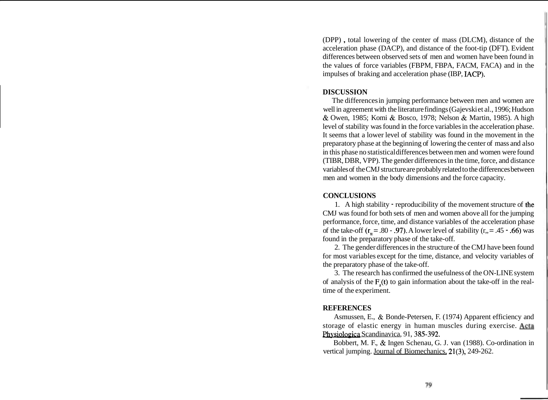(DPP) , total lowering of the center of mass (DLCM), distance of the acceleration phase (DACP), and distance of the foot-tip (DFT). Evident differences between observed sets of men and women have been found in the values of force variables (FBPM, FBPA, FACM, FACA) and in the impulses of braking and acceleration phase (IBP, IACP).

# **DISCUSSION**

The differences in jumping performance between men and women are well in agreement with the literature findings (Gajevski et al., 1996; Hudson & Owen, 1985; Komi & Bosco, 1978; Nelson & Martin, 1985). A high level of stability was found in the force variables in the acceleration phase. It seems that a lower level of stability was found in the movement in the preparatory phase at the beginning of lowering the center of mass and also in this phase no statistical differences between men and women were found (TIBR, DBR, VPP). The gender differences in the time, force, and distance variables of the CMJ structure are probably related to the differences between men and women in the body dimensions and the force capacity.

### **CONCLUSIONS**

1. A high stability - reproducibility of the movement structure of the CMJ was found for both sets of men and women above all for the jumping performance, force, time, and distance variables of the acceleration phase of the take-off  $(r_0 = .80 - .97)$ . A lower level of stability  $(r_0 = .45 - .66)$  was found in the preparatory phase of the take-off.

2. The gender differences in the structure of the CMJ have been found for most variables except for the time, distance, and velocity variables of the preparatory phase of the take-off.

3. The research has confirmed the usefulness of the ON-LINE system of analysis of the  $F(x)$  to gain information about the take-off in the realtime of the experiment.

### **REFERENCES**

Asmussen, E., & Bonde-Petersen, F. (1974) Apparent efficiency and storage of elastic energy in human muscles during exercise. Acta Physiologica Scandinavica, 91, 385-392.

Bobbert, M. F., & Ingen Schenau, G. J. van (1988). Co-ordination in vertical jumping. Journal of Biomechanics, 21(3), 249-262.